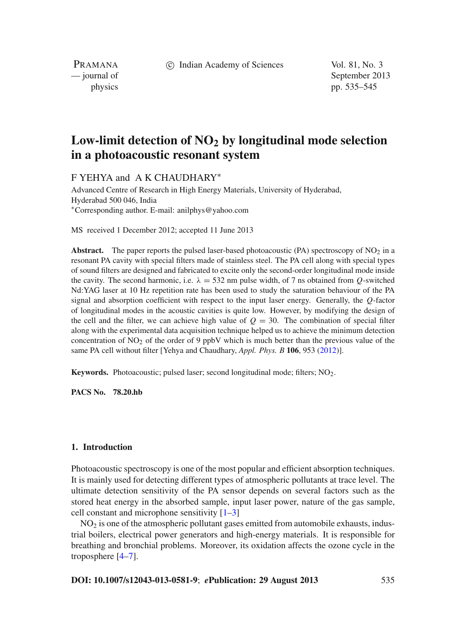c Indian Academy of Sciences Vol. 81, No. 3

PRAMANA

— journal of September 2013 physics pp. 535–545

# **Low-limit detection of NO2 by longitudinal mode selection in a photoacoustic resonant system**

F YEHYA and A K CHAUDHARY<sup>∗</sup>

Advanced Centre of Research in High Energy Materials, University of Hyderabad, Hyderabad 500 046, India <sup>∗</sup>Corresponding author. E-mail: anilphys@yahoo.com

MS received 1 December 2012; accepted 11 June 2013

**Abstract.** The paper reports the pulsed laser-based photoacoustic  $(PA)$  spectroscopy of  $NO<sub>2</sub>$  in a resonant PA cavity with special filters made of stainless steel. The PA cell along with special types of sound filters are designed and fabricated to excite only the second-order longitudinal mode inside the cavity. The second harmonic, i.e.  $\lambda = 532$  nm pulse width, of 7 ns obtained from *O*-switched Nd:YAG laser at 10 Hz repetition rate has been used to study the saturation behaviour of the PA signal and absorption coefficient with respect to the input laser energy. Generally, the *Q*-factor of longitudinal modes in the acoustic cavities is quite low. However, by modifying the design of the cell and the filter, we can achieve high value of  $Q = 30$ . The combination of special filter along with the experimental data acquisition technique helped us to achieve the minimum detection concentration of  $NO<sub>2</sub>$  of the order of 9 ppbV which is much better than the previous value of the same PA cell without filter [Yehya and Chaudhary, *Appl. Phys. B* **106**, 953 [\(2012\)](#page-9-0)].

**Keywords.** Photoacoustic; pulsed laser; second longitudinal mode; filters; NO<sub>2</sub>.

**PACS No. 78.20.hb**

# **1. Introduction**

Photoacoustic spectroscopy is one of the most popular and efficient absorption techniques. It is mainly used for detecting different types of atmospheric pollutants at trace level. The ultimate detection sensitivity of the PA sensor depends on several factors such as the stored heat energy in the absorbed sample, input laser power, nature of the gas sample, cell constant and microphone sensitivity [\[1](#page-9-1)[–3\]](#page-9-2)

 $NO<sub>2</sub>$  is one of the atmospheric pollutant gases emitted from automobile exhausts, industrial boilers, electrical power generators and high-energy materials. It is responsible for breathing and bronchial problems. Moreover, its oxidation affects the ozone cycle in the troposphere [\[4](#page-10-0)[–7\]](#page-10-1).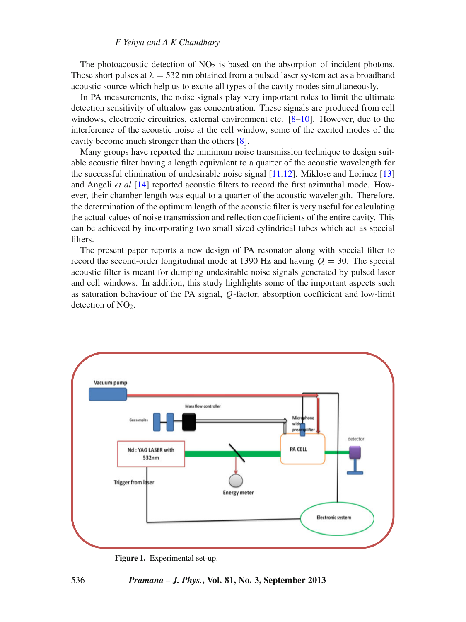## *F Yehya and A K Chaudhary*

The photoacoustic detection of  $NO<sub>2</sub>$  is based on the absorption of incident photons. These short pulses at  $\lambda = 532$  nm obtained from a pulsed laser system act as a broadband acoustic source which help us to excite all types of the cavity modes simultaneously.

In PA measurements, the noise signals play very important roles to limit the ultimate detection sensitivity of ultralow gas concentration. These signals are produced from cell windows, electronic circuitries, external environment etc. [\[8](#page-10-2)[–10\]](#page-10-3). However, due to the interference of the acoustic noise at the cell window, some of the excited modes of the cavity become much stronger than the others [\[8](#page-10-2)].

Many groups have reported the minimum noise transmission technique to design suitable acoustic filter having a length equivalent to a quarter of the acoustic wavelength for the successful elimination of undesirable noise signal  $[11,12]$  $[11,12]$  $[11,12]$ . Miklose and Lorincz  $[13]$ and Angeli *et al* [\[14](#page-10-7)] reported acoustic filters to record the first azimuthal mode. However, their chamber length was equal to a quarter of the acoustic wavelength. Therefore, the determination of the optimum length of the acoustic filter is very useful for calculating the actual values of noise transmission and reflection coefficients of the entire cavity. This can be achieved by incorporating two small sized cylindrical tubes which act as special filters.

The present paper reports a new design of PA resonator along with special filter to record the second-order longitudinal mode at 1390 Hz and having  $Q = 30$ . The special acoustic filter is meant for dumping undesirable noise signals generated by pulsed laser and cell windows. In addition, this study highlights some of the important aspects such as saturation behaviour of the PA signal, *Q*-factor, absorption coefficient and low-limit detection of NO<sub>2</sub>.

<span id="page-1-0"></span>

**Figure 1.** Experimental set-up.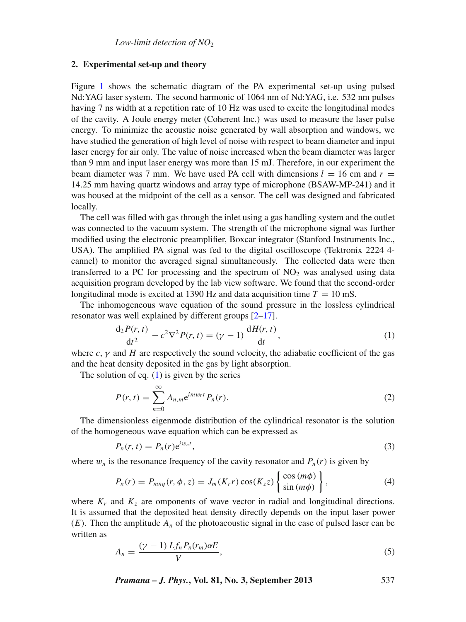#### **2. Experimental set-up and theory**

Figure [1](#page-1-0) shows the schematic diagram of the PA experimental set-up using pulsed Nd:YAG laser system. The second harmonic of 1064 nm of Nd:YAG, i.e. 532 nm pulses having 7 ns width at a repetition rate of 10 Hz was used to excite the longitudinal modes of the cavity. A Joule energy meter (Coherent Inc.) was used to measure the laser pulse energy. To minimize the acoustic noise generated by wall absorption and windows, we have studied the generation of high level of noise with respect to beam diameter and input laser energy for air only. The value of noise increased when the beam diameter was larger than 9 mm and input laser energy was more than 15 mJ. Therefore, in our experiment the beam diameter was 7 mm. We have used PA cell with dimensions  $l = 16$  cm and  $r =$ 14.25 mm having quartz windows and array type of microphone (BSAW-MP-241) and it was housed at the midpoint of the cell as a sensor. The cell was designed and fabricated locally.

The cell was filled with gas through the inlet using a gas handling system and the outlet was connected to the vacuum system. The strength of the microphone signal was further modified using the electronic preamplifier, Boxcar integrator (Stanford Instruments Inc., USA). The amplified PA signal was fed to the digital oscilloscope (Tektronix 2224 4 cannel) to monitor the averaged signal simultaneously. The collected data were then transferred to a PC for processing and the spectrum of  $NO<sub>2</sub>$  was analysed using data acquisition program developed by the lab view software. We found that the second-order longitudinal mode is excited at 1390 Hz and data acquisition time  $T = 10$  mS.

The inhomogeneous wave equation of the sound pressure in the lossless cylindrical resonator was well explained by different groups [\[2](#page-9-0)[–17\]](#page-10-8).

<span id="page-2-0"></span>
$$
\frac{d_2 P(r, t)}{dt^2} - c^2 \nabla^2 P(r, t) = (\gamma - 1) \frac{dH(r, t)}{dt},
$$
\n(1)

where  $c, \gamma$  and  $H$  are respectively the sound velocity, the adiabatic coefficient of the gas and the heat density deposited in the gas by light absorption.

The solution of eq.  $(1)$  is given by the series

$$
P(r,t) = \sum_{n=0}^{\infty} A_{n,m} e^{imw_0 t} P_n(r).
$$
 (2)

The dimensionless eigenmode distribution of the cylindrical resonator is the solution of the homogeneous wave equation which can be expressed as

<span id="page-2-1"></span>
$$
P_n(r,t) = P_n(r)e^{iw_nt},\tag{3}
$$

where  $w_n$  is the resonance frequency of the cavity resonator and  $P_n(r)$  is given by

$$
P_n(r) = P_{m n q}(r, \phi, z) = J_m(K_r r) \cos(K_z z) \left\{ \frac{\cos(m\phi)}{\sin(m\phi)} \right\},\tag{4}
$$

where  $K_r$  and  $K_z$  are omponents of wave vector in radial and longitudinal directions. It is assumed that the deposited heat density directly depends on the input laser power  $(E)$ . Then the amplitude  $A_n$  of the photoacoustic signal in the case of pulsed laser can be written as

<span id="page-2-2"></span>
$$
A_n = \frac{(\gamma - 1) L f_n P_n(r_m) \alpha E}{V},
$$
\n<sup>(5)</sup>

*Pramana – J. Phys.***, Vol. 81, No. 3, September 2013** 537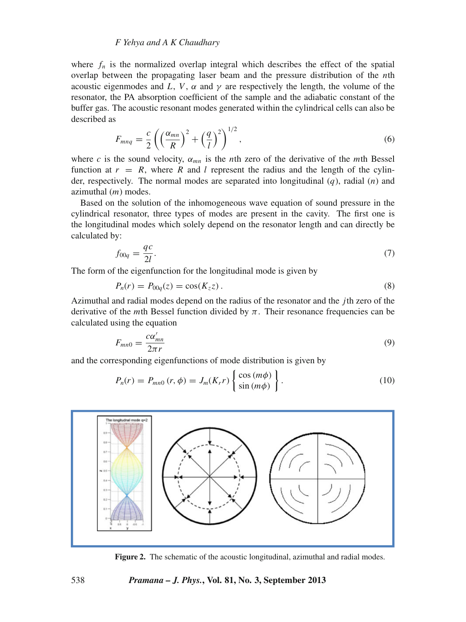# *F Yehya and A K Chaudhary*

where  $f_n$  is the normalized overlap integral which describes the effect of the spatial overlap between the propagating laser beam and the pressure distribution of the *n*th acoustic eigenmodes and L, V,  $\alpha$  and  $\gamma$  are respectively the length, the volume of the resonator, the PA absorption coefficient of the sample and the adiabatic constant of the buffer gas. The acoustic resonant modes generated within the cylindrical cells can also be described as

$$
F_{mnq} = \frac{c}{2} \left( \left( \frac{\alpha_{mn}}{R} \right)^2 + \left( \frac{q}{l} \right)^2 \right)^{1/2},\tag{6}
$$

where *c* is the sound velocity,  $\alpha_{mn}$  is the *n*th zero of the derivative of the *m*th Bessel function at  $r = R$ , where R and l represent the radius and the length of the cylinder, respectively. The normal modes are separated into longitudinal (*q*), radial (*n*) and azimuthal (*m*) modes.

Based on the solution of the inhomogeneous wave equation of sound pressure in the cylindrical resonator, three types of modes are present in the cavity. The first one is the longitudinal modes which solely depend on the resonator length and can directly be calculated by:

$$
f_{00q} = \frac{qc}{2l}.\tag{7}
$$

The form of the eigenfunction for the longitudinal mode is given by

$$
P_n(r) = P_{00q}(z) = \cos(K_z z). \tag{8}
$$

Azimuthal and radial modes depend on the radius of the resonator and the *j*th zero of the derivative of the *m*th Bessel function divided by  $\pi$ . Their resonance frequencies can be calculated using the equation

$$
F_{mn0} = \frac{c\alpha'_{mn}}{2\pi r} \tag{9}
$$

and the corresponding eigenfunctions of mode distribution is given by

$$
P_n(r) = P_{mn0}(r,\phi) = J_m(K_r r) \begin{Bmatrix} \cos(m\phi) \\ \sin(m\phi) \end{Bmatrix}.
$$
 (10)

<span id="page-3-0"></span>

**Figure 2.** The schematic of the acoustic longitudinal, azimuthal and radial modes.

## 538 *Pramana – J. Phys.***, Vol. 81, No. 3, September 2013**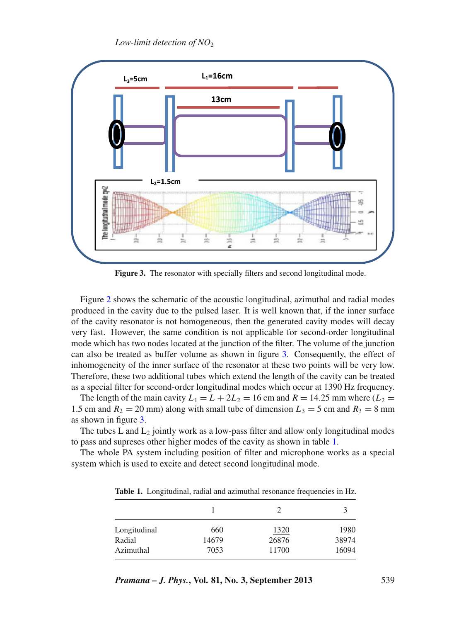*Low-limit detection of NO*<sub>2</sub>

<span id="page-4-0"></span>

**Figure 3.** The resonator with specially filters and second longitudinal mode.

Figure [2](#page-3-0) shows the schematic of the acoustic longitudinal, azimuthal and radial modes produced in the cavity due to the pulsed laser. It is well known that, if the inner surface of the cavity resonator is not homogeneous, then the generated cavity modes will decay very fast. However, the same condition is not applicable for second-order longitudinal mode which has two nodes located at the junction of the filter. The volume of the junction can also be treated as buffer volume as shown in figure [3.](#page-4-0) Consequently, the effect of inhomogeneity of the inner surface of the resonator at these two points will be very low. Therefore, these two additional tubes which extend the length of the cavity can be treated as a special filter for second-order longitudinal modes which occur at 1390 Hz frequency.

The length of the main cavity  $L_1 = L + 2L_2 = 16$  cm and  $R = 14.25$  mm where  $(L_2 =$ 1.5 cm and  $R_2 = 20$  mm) along with small tube of dimension  $L_3 = 5$  cm and  $R_3 = 8$  mm as shown in figure [3.](#page-4-0)

The tubes  $L$  and  $L_2$  jointly work as a low-pass filter and allow only longitudinal modes to pass and supreses other higher modes of the cavity as shown in table [1.](#page-4-1)

<span id="page-4-1"></span>The whole PA system including position of filter and microphone works as a special system which is used to excite and detect second longitudinal mode.

| Longitudinal | 660   | 1320  | 1980  |
|--------------|-------|-------|-------|
| Radial       | 14679 | 26876 | 38974 |
| Azimuthal    | 7053  | 11700 | 16094 |

**Table 1.** Longitudinal, radial and azimuthal resonance frequencies in Hz.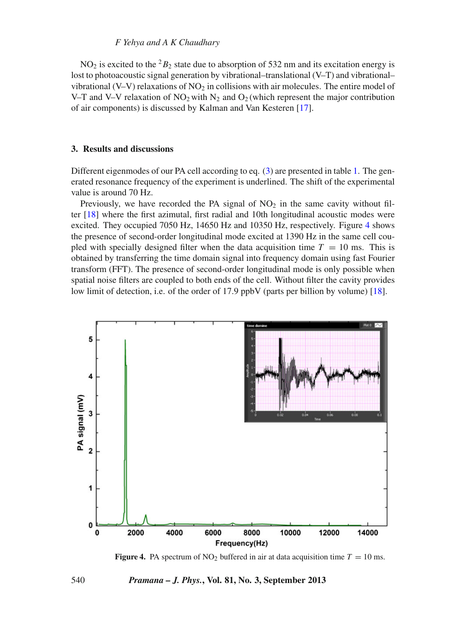# *F Yehya and A K Chaudhary*

NO<sub>2</sub> is excited to the <sup>2</sup> $B_2$  state due to absorption of 532 nm and its excitation energy is lost to photoacoustic signal generation by vibrational–translational (V–T) and vibrational– vibrational (V–V) relaxations of  $NO<sub>2</sub>$  in collisions with air molecules. The entire model of V–T and V–V relaxation of NO<sub>2</sub> with N<sub>2</sub> and O<sub>2</sub> (which represent the major contribution of air components) is discussed by Kalman and Van Kesteren [\[17\]](#page-10-8).

# **3. Results and discussions**

Different eigenmodes of our PA cell according to eq. [\(3\)](#page-2-1) are presented in table [1.](#page-4-1) The generated resonance frequency of the experiment is underlined. The shift of the experimental value is around 70 Hz.

Previously, we have recorded the PA signal of  $NO<sub>2</sub>$  in the same cavity without filter [\[18\]](#page-10-9) where the first azimutal, first radial and 10th longitudinal acoustic modes were excited. They occupied 7050 Hz, 14650 Hz and 10350 Hz, respectively. Figure [4](#page-5-0) shows the presence of second-order longitudinal mode excited at 1390 Hz in the same cell coupled with specially designed filter when the data acquisition time  $T = 10$  ms. This is obtained by transferring the time domain signal into frequency domain using fast Fourier transform (FFT). The presence of second-order longitudinal mode is only possible when spatial noise filters are coupled to both ends of the cell. Without filter the cavity provides low limit of detection, i.e. of the order of 17.9 ppbV (parts per billion by volume) [\[18](#page-10-9)].

<span id="page-5-0"></span>

**Figure 4.** PA spectrum of NO<sub>2</sub> buffered in air at data acquisition time  $T = 10$  ms.

#### 540 *Pramana – J. Phys.***, Vol. 81, No. 3, September 2013**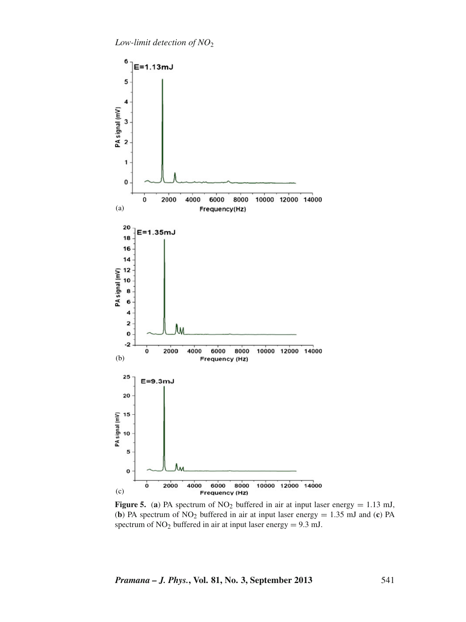*Low-limit detection of NO*<sup>2</sup>

<span id="page-6-0"></span>

**Figure 5.** (a) PA spectrum of  $NO<sub>2</sub>$  buffered in air at input laser energy = 1.13 mJ, (**b**) PA spectrum of  $NO_2$  buffered in air at input laser energy = 1.35 mJ and (**c**) PA spectrum of  $NO<sub>2</sub>$  buffered in air at input laser energy = 9.3 mJ.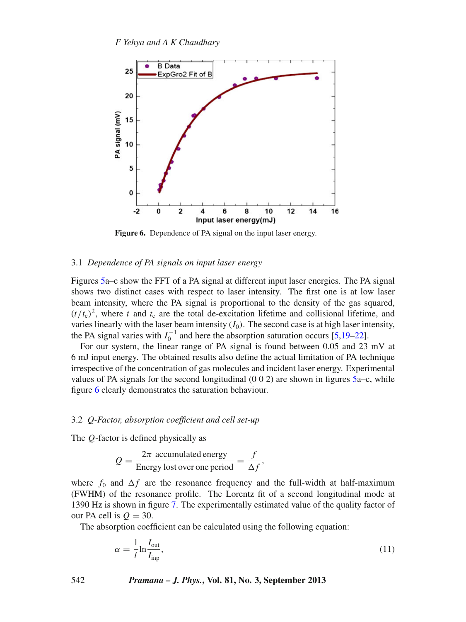<span id="page-7-0"></span>

**Figure 6.** Dependence of PA signal on the input laser energy.

### 3.1 *Dependence of PA signals on input laser energy*

Figures [5a](#page-6-0)–c show the FFT of a PA signal at different input laser energies. The PA signal shows two distinct cases with respect to laser intensity. The first one is at low laser beam intensity, where the PA signal is proportional to the density of the gas squared,  $(t/t_c)^2$ , where *t* and  $t_c$  are the total de-excitation lifetime and collisional lifetime, and varies linearly with the laser beam intensity  $(I_0)$ . The second case is at high laser intensity, the PA signal varies with  $I_0^{-1}$  and here the absorption saturation occurs [\[5](#page-10-10)[,19](#page-10-11)[–22](#page-10-12)].

For our system, the linear range of PA signal is found between 0.05 and 23 mV at 6 mJ input energy. The obtained results also define the actual limitation of PA technique irrespective of the concentration of gas molecules and incident laser energy. Experimental values of PA signals for the second longitudinal  $(0\ 0\ 2)$  are shown in figures [5a](#page-6-0)–c, while figure [6](#page-7-0) clearly demonstrates the saturation behaviour.

# 3.2 *Q-Factor, absorption coefficient and cell set-up*

The *Q*-factor is defined physically as

$$
Q = \frac{2\pi \text{ accumulated energy}}{\text{Energy lost over one period}} = \frac{f}{\Delta f},
$$

where  $f_0$  and  $\Delta f$  are the resonance frequency and the full-width at half-maximum (FWHM) of the resonance profile. The Lorentz fit of a second longitudinal mode at 1390 Hz is shown in figure [7.](#page-8-0) The experimentally estimated value of the quality factor of our PA cell is  $Q = 30$ .

The absorption coefficient can be calculated using the following equation:

$$
\alpha = \frac{1}{l} \ln \frac{I_{\text{out}}}{I_{\text{inp}}},\tag{11}
$$

542 *Pramana – J. Phys.***, Vol. 81, No. 3, September 2013**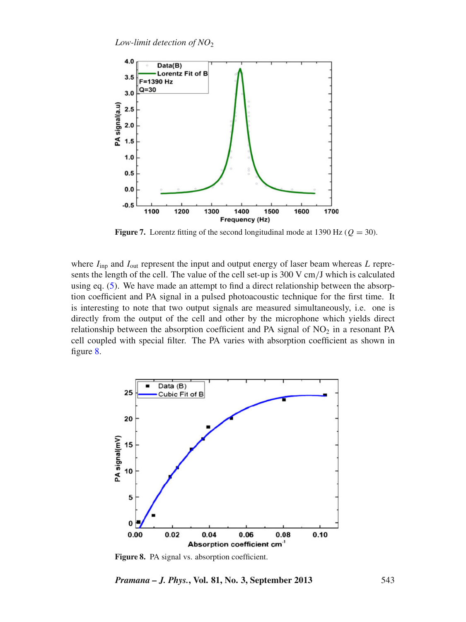<span id="page-8-0"></span>

**Figure 7.** Lorentz fitting of the second longitudinal mode at 1390 Hz ( $Q = 30$ ).

where  $I_{\text{inp}}$  and  $I_{\text{out}}$  represent the input and output energy of laser beam whereas *L* represents the length of the cell. The value of the cell set-up is 300 V cm/J which is calculated using eq. [\(5\)](#page-2-2). We have made an attempt to find a direct relationship between the absorption coefficient and PA signal in a pulsed photoacoustic technique for the first time. It is interesting to note that two output signals are measured simultaneously, i.e. one is directly from the output of the cell and other by the microphone which yields direct relationship between the absorption coefficient and PA signal of  $NO<sub>2</sub>$  in a resonant PA cell coupled with special filter. The PA varies with absorption coefficient as shown in figure [8.](#page-8-1)

<span id="page-8-1"></span>

Figure 8. PA signal vs. absorption coefficient.

*Pramana – J. Phys.***, Vol. 81, No. 3, September 2013** 543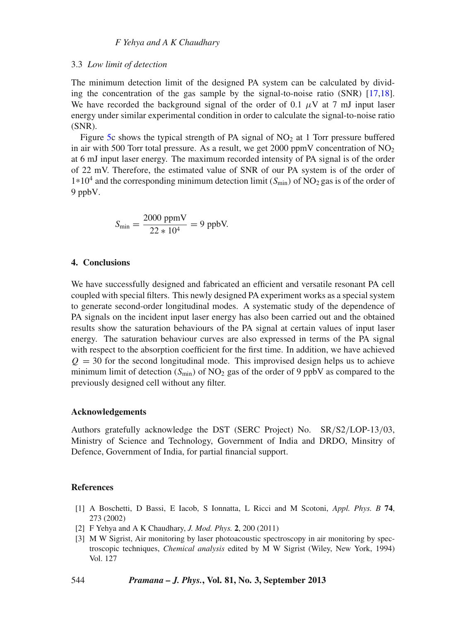## 3.3 *Low limit of detection*

The minimum detection limit of the designed PA system can be calculated by dividing the concentration of the gas sample by the signal-to-noise ratio (SNR) [\[17](#page-10-8)[,18](#page-10-9)]. We have recorded the background signal of the order of 0.1  $\mu$ V at 7 mJ input laser energy under similar experimental condition in order to calculate the signal-to-noise ratio (SNR).

Figure [5c](#page-6-0) shows the typical strength of PA signal of  $NO<sub>2</sub>$  at 1 Torr pressure buffered in air with 500 Torr total pressure. As a result, we get 2000 ppmV concentration of  $NO<sub>2</sub>$ at 6 mJ input laser energy. The maximum recorded intensity of PA signal is of the order of 22 mV. Therefore, the estimated value of SNR of our PA system is of the order of  $1*10<sup>4</sup>$  and the corresponding minimum detection limit ( $S_{\text{min}}$ ) of NO<sub>2</sub> gas is of the order of 9 ppbV.

$$
S_{\min} = \frac{2000 \text{ ppmV}}{22 * 10^4} = 9 \text{ ppbV}.
$$

## **4. Conclusions**

We have successfully designed and fabricated an efficient and versatile resonant PA cell coupled with special filters. This newly designed PA experiment works as a special system to generate second-order longitudinal modes. A systematic study of the dependence of PA signals on the incident input laser energy has also been carried out and the obtained results show the saturation behaviours of the PA signal at certain values of input laser energy. The saturation behaviour curves are also expressed in terms of the PA signal with respect to the absorption coefficient for the first time. In addition, we have achieved  $Q = 30$  for the second longitudinal mode. This improvised design helps us to achieve minimum limit of detection  $(S_{\text{min}})$  of NO<sub>2</sub> gas of the order of 9 ppbV as compared to the previously designed cell without any filter.

## **Acknowledgements**

Authors gratefully acknowledge the DST (SERC Project) No. SR/S2/LOP-13/03, Ministry of Science and Technology, Government of India and DRDO, Minsitry of Defence, Government of India, for partial financial support.

# **References**

- <span id="page-9-1"></span>[1] A Boschetti, D Bassi, E Iacob, S Ionnatta, L Ricci and M Scotoni, *Appl. Phys. B* **74**, 273 (2002)
- <span id="page-9-0"></span>[2] F Yehya and A K Chaudhary, *J. Mod. Phys.* **2**, 200 (2011)
- <span id="page-9-2"></span>[3] M W Sigrist, Air monitoring by laser photoacoustic spectroscopy in air monitoring by spectroscopic techniques, *Chemical analysis* edited by M W Sigrist (Wiley, New York, 1994) Vol. 127